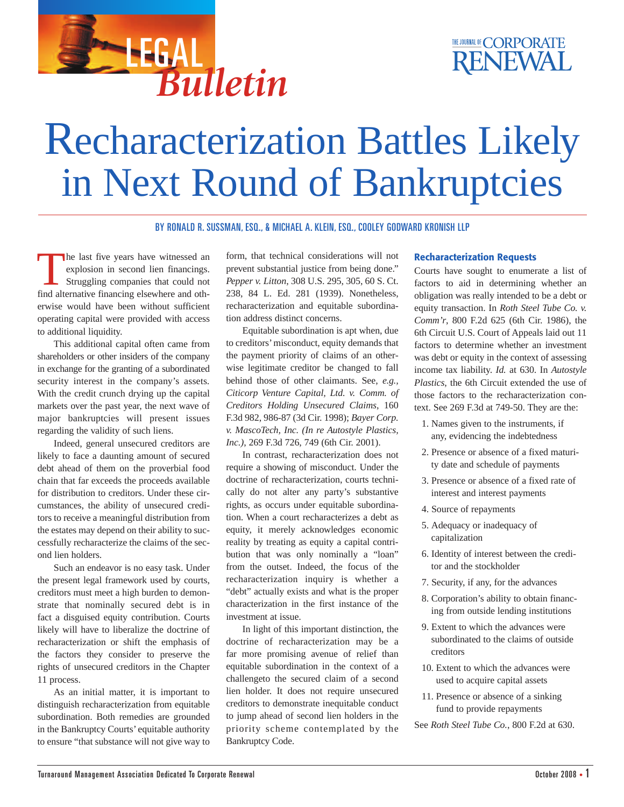

## Recharacterization Battles Likely in Next Round of Bankruptcies

BY RONALD R. SUSSMAN, ESQ., & MICHAEL A. KLEIN, ESQ., COOLEY GODWARD KRONISH LLP

The last five years have witnessed an explosion in second lien financings. Struggling companies that could not find alternative financing elsewhere and otherwise would have been without sufficient operating capital were provided with access to additional liquidity.

This additional capital often came from shareholders or other insiders of the company in exchange for the granting of a subordinated security interest in the company's assets. With the credit crunch drying up the capital markets over the past year, the next wave of major bankruptcies will present issues regarding the validity of such liens.

Indeed, general unsecured creditors are likely to face a daunting amount of secured debt ahead of them on the proverbial food chain that far exceeds the proceeds available for distribution to creditors. Under these circumstances, the ability of unsecured creditors to receive a meaningful distribution from the estates may depend on their ability to successfully recharacterize the claims of the second lien holders.

Such an endeavor is no easy task. Under the present legal framework used by courts, creditors must meet a high burden to demonstrate that nominally secured debt is in fact a disguised equity contribution. Courts likely will have to liberalize the doctrine of recharacterization or shift the emphasis of the factors they consider to preserve the rights of unsecured creditors in the Chapter 11 process.

As an initial matter, it is important to distinguish recharacterization from equitable subordination. Both remedies are grounded in the Bankruptcy Courts' equitable authority to ensure "that substance will not give way to

form, that technical considerations will not prevent substantial justice from being done." *Pepper v. Litton*, 308 U.S. 295, 305, 60 S. Ct. 238, 84 L. Ed. 281 (1939). Nonetheless, recharacterization and equitable subordination address distinct concerns.

Equitable subordination is apt when, due to creditors'misconduct, equity demands that the payment priority of claims of an otherwise legitimate creditor be changed to fall behind those of other claimants. See, *e.g., Citicorp Venture Capital, Ltd. v. Comm. of Creditors Holding Unsecured Claims*, 160 F.3d 982, 986-87 (3d Cir. 1998); *Bayer Corp. v. MascoTech, Inc. (In re Autostyle Plastics, Inc.)*, 269 F.3d 726, 749 (6th Cir. 2001).

In contrast, recharacterization does not require a showing of misconduct. Under the doctrine of recharacterization, courts technically do not alter any party's substantive rights, as occurs under equitable subordination. When a court recharacterizes a debt as equity, it merely acknowledges economic reality by treating as equity a capital contribution that was only nominally a "loan" from the outset. Indeed, the focus of the recharacterization inquiry is whether a "debt" actually exists and what is the proper characterization in the first instance of the investment at issue.

In light of this important distinction, the doctrine of recharacterization may be a far more promising avenue of relief than equitable subordination in the context of a challengeto the secured claim of a second lien holder. It does not require unsecured creditors to demonstrate inequitable conduct to jump ahead of second lien holders in the priority scheme contemplated by the Bankruptcy Code.

## **Recharacterization Requests**

Courts have sought to enumerate a list of factors to aid in determining whether an obligation was really intended to be a debt or equity transaction. In *Roth Steel Tube Co. v. Comm'r*, 800 F.2d 625 (6th Cir. 1986), the 6th Circuit U.S. Court of Appeals laid out 11 factors to determine whether an investment was debt or equity in the context of assessing income tax liability. *Id.* at 630. In *Autostyle Plastics*, the 6th Circuit extended the use of those factors to the recharacterization context. See 269 F.3d at 749-50. They are the:

- 1. Names given to the instruments, if any, evidencing the indebtedness
- 2. Presence or absence of a fixed maturity date and schedule of payments
- 3. Presence or absence of a fixed rate of interest and interest payments
- 4. Source of repayments
- 5. Adequacy or inadequacy of capitalization
- 6. Identity of interest between the creditor and the stockholder
- 7. Security, if any, for the advances
- 8. Corporation's ability to obtain financing from outside lending institutions
- 9. Extent to which the advances were subordinated to the claims of outside creditors
- 10. Extent to which the advances were used to acquire capital assets
- 11. Presence or absence of a sinking fund to provide repayments

See *Roth Steel Tube Co.*, 800 F.2d at 630.